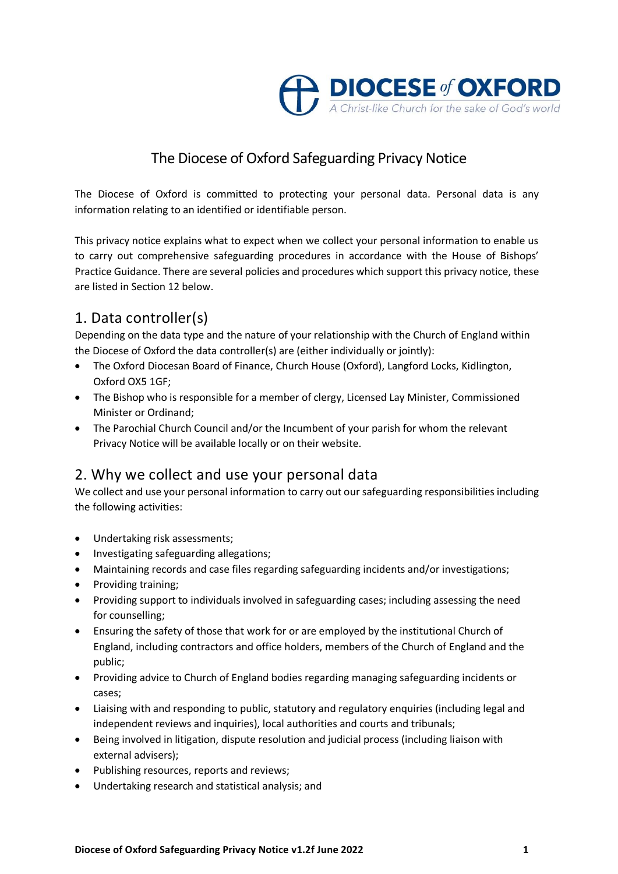

# The Diocese of Oxford Safeguarding Privacy Notice

The Diocese of Oxford is committed to protecting your personal data. Personal data is any information relating to an identified or identifiable person.

This privacy notice explains what to expect when we collect your personal information to enable us to carry out comprehensive safeguarding procedures in accordance with the House of Bishops' Practice Guidance. There are several policies and procedures which support this privacy notice, these are listed in Section 12 below.

## 1. Data controller(s)

Depending on the data type and the nature of your relationship with the Church of England within the Diocese of Oxford the data controller(s) are (either individually or jointly):

- The Oxford Diocesan Board of Finance, Church House (Oxford), Langford Locks, Kidlington, Oxford OX5 1GF;
- The Bishop who is responsible for a member of clergy, Licensed Lay Minister, Commissioned Minister or Ordinand;
- The Parochial Church Council and/or the Incumbent of your parish for whom the relevant Privacy Notice will be available locally or on their website.

#### 2. Why we collect and use your personal data

We collect and use your personal information to carry out our safeguarding responsibilities including the following activities:

- Undertaking risk assessments;
- Investigating safeguarding allegations;
- Maintaining records and case files regarding safeguarding incidents and/or investigations;
- Providing training;
- Providing support to individuals involved in safeguarding cases; including assessing the need for counselling;
- Ensuring the safety of those that work for or are employed by the institutional Church of England, including contractors and office holders, members of the Church of England and the public;
- Providing advice to Church of England bodies regarding managing safeguarding incidents or cases;
- Liaising with and responding to public, statutory and regulatory enquiries (including legal and independent reviews and inquiries), local authorities and courts and tribunals;
- Being involved in litigation, dispute resolution and judicial process (including liaison with external advisers);
- Publishing resources, reports and reviews;
- Undertaking research and statistical analysis; and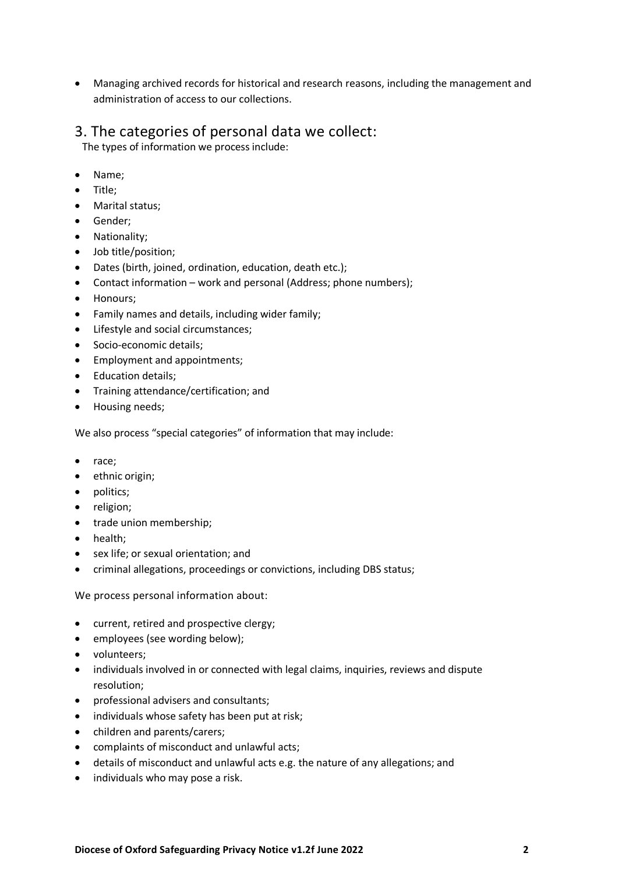• Managing archived records for historical and research reasons, including the management and administration of access to our collections.

#### 3. The categories of personal data we collect:

The types of information we process include:

- Name;
- Title;
- Marital status;
- Gender;
- Nationality;
- Job title/position;
- Dates (birth, joined, ordination, education, death etc.);
- Contact information work and personal (Address; phone numbers);
- Honours;
- Family names and details, including wider family;
- Lifestyle and social circumstances;
- Socio-economic details;
- Employment and appointments;
- Education details;
- Training attendance/certification; and
- Housing needs;

We also process "special categories" of information that may include:

- race;
- ethnic origin;
- politics;
- religion;
- trade union membership;
- health;
- sex life; or sexual orientation; and
- criminal allegations, proceedings or convictions, including DBS status;

We process personal information about:

- current, retired and prospective clergy;
- employees (see wording below);
- volunteers;
- individuals involved in or connected with legal claims, inquiries, reviews and dispute resolution;
- professional advisers and consultants;
- individuals whose safety has been put at risk;
- children and parents/carers;
- complaints of misconduct and unlawful acts;
- details of misconduct and unlawful acts e.g. the nature of any allegations; and
- individuals who may pose a risk.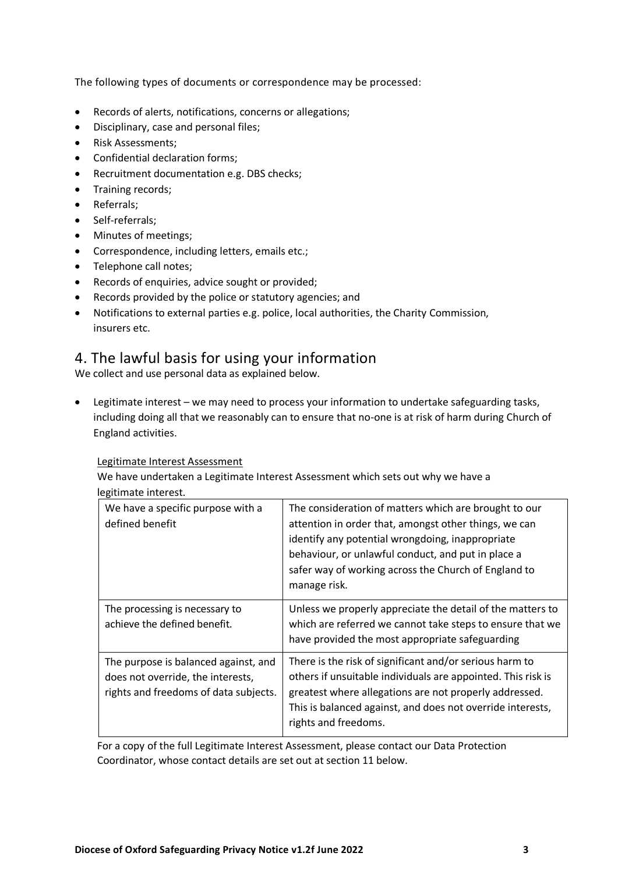The following types of documents or correspondence may be processed:

- Records of alerts, notifications, concerns or allegations;
- Disciplinary, case and personal files;
- Risk Assessments;
- Confidential declaration forms;
- Recruitment documentation e.g. DBS checks;
- Training records;
- Referrals;
- Self-referrals;
- Minutes of meetings;
- Correspondence, including letters, emails etc.;
- Telephone call notes;
- Records of enquiries, advice sought or provided;
- Records provided by the police or statutory agencies; and
- Notifications to external parties e.g. police, local authorities, the Charity Commission, insurers etc.

#### 4. The lawful basis for using your information

We collect and use personal data as explained below.

• Legitimate interest – we may need to process your information to undertake safeguarding tasks, including doing all that we reasonably can to ensure that no-one is at risk of harm during Church of England activities.

#### Legitimate Interest Assessment

We have undertaken a Legitimate Interest Assessment which sets out why we have a legitimate interest.

| We have a specific purpose with a<br>defined benefit                                                               | The consideration of matters which are brought to our<br>attention in order that, amongst other things, we can<br>identify any potential wrongdoing, inappropriate<br>behaviour, or unlawful conduct, and put in place a<br>safer way of working across the Church of England to<br>manage risk. |
|--------------------------------------------------------------------------------------------------------------------|--------------------------------------------------------------------------------------------------------------------------------------------------------------------------------------------------------------------------------------------------------------------------------------------------|
| The processing is necessary to<br>achieve the defined benefit.                                                     | Unless we properly appreciate the detail of the matters to<br>which are referred we cannot take steps to ensure that we<br>have provided the most appropriate safeguarding                                                                                                                       |
| The purpose is balanced against, and<br>does not override, the interests,<br>rights and freedoms of data subjects. | There is the risk of significant and/or serious harm to<br>others if unsuitable individuals are appointed. This risk is<br>greatest where allegations are not properly addressed.<br>This is balanced against, and does not override interests,<br>rights and freedoms.                          |

For a copy of the full Legitimate Interest Assessment, please contact our Data Protection Coordinator, whose contact details are set out at section 11 below.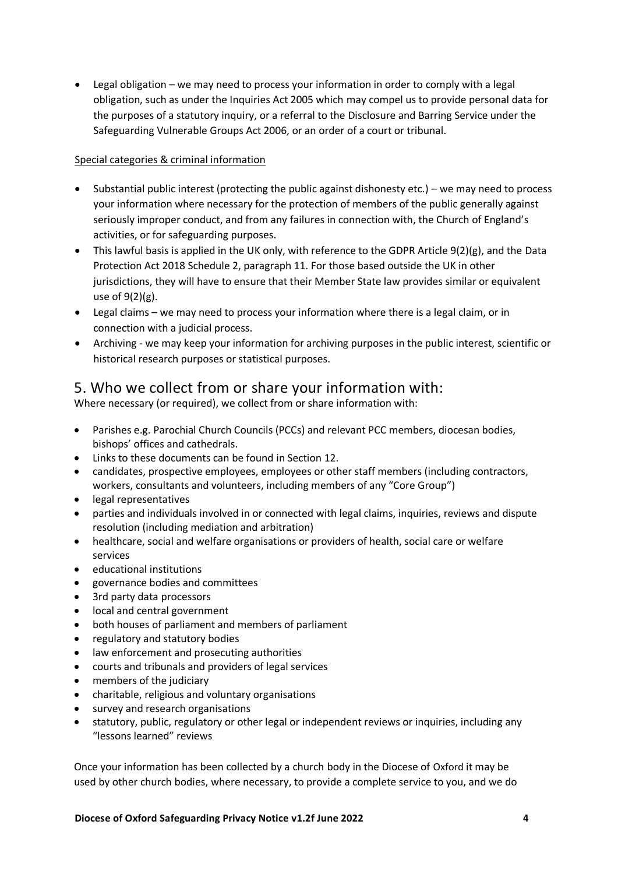• Legal obligation – we may need to process your information in order to comply with a legal obligation, such as under the Inquiries Act 2005 which may compel us to provide personal data for the purposes of a statutory inquiry, or a referral to the Disclosure and Barring Service under the Safeguarding Vulnerable Groups Act 2006, or an order of a court or tribunal.

#### Special categories & criminal information

- Substantial public interest (protecting the public against dishonesty etc.) we may need to process your information where necessary for the protection of members of the public generally against seriously improper conduct, and from any failures in connection with, the Church of England's activities, or for safeguarding purposes.
- This lawful basis is applied in the UK only, with reference to the GDPR Article 9(2)(g), and the Data Protection Act 2018 Schedule 2, paragraph 11. For those based outside the UK in other jurisdictions, they will have to ensure that their Member State law provides similar or equivalent use of  $9(2)(g)$ .
- Legal claims we may need to process your information where there is a legal claim, or in connection with a judicial process.
- Archiving we may keep your information for archiving purposes in the public interest, scientific or historical research purposes or statistical purposes.

#### 5. Who we collect from or share your information with:

Where necessary (or required), we collect from or share information with:

- Parishes e.g. Parochial Church Councils (PCCs) and relevant PCC members, diocesan bodies, bishops' offices and cathedrals.
- Links to these documents can be found in Section 12.
- candidates, prospective employees, employees or other staff members (including contractors, workers, consultants and volunteers, including members of any "Core Group")
- legal representatives
- parties and individuals involved in or connected with legal claims, inquiries, reviews and dispute resolution (including mediation and arbitration)
- healthcare, social and welfare organisations or providers of health, social care or welfare services
- educational institutions
- governance bodies and committees
- 3rd party data processors
- local and central government
- both houses of parliament and members of parliament
- regulatory and statutory bodies
- law enforcement and prosecuting authorities
- courts and tribunals and providers of legal services
- members of the judiciary
- charitable, religious and voluntary organisations
- survey and research organisations
- statutory, public, regulatory or other legal or independent reviews or inquiries, including any "lessons learned" reviews

Once your information has been collected by a church body in the Diocese of Oxford it may be used by other church bodies, where necessary, to provide a complete service to you, and we do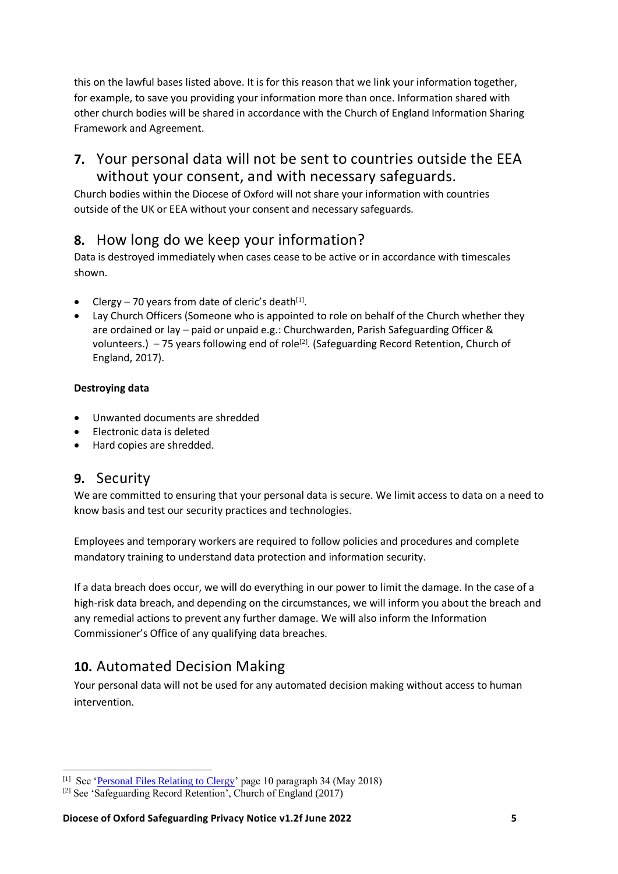this on the lawful bases listed above. It is for this reason that we link your information together, for example, to save you providing your information more than once. Information shared with other church bodies will be shared in accordance with the Church of England Information Sharing Framework and Agreement.

## **7.** Your personal data will not be sent to countries outside the EEA without your consent, and with necessary safeguards.

Church bodies within the Diocese of Oxford will not share your information with countries outside of the UK or EEA without your consent and necessary safeguards.

## **8.** How long do we keep your information?

Data is destroyed immediately when cases cease to be active or in accordance with timescales shown.

- Clergy 70 years from date of cleric's death $^{[1]}$ .
- Lay Church Officers (Someone who is appointed to role on behalf of the Church whether they are ordained or lay – paid or unpaid e.g.: Churchwarden, Parish Safeguarding Officer & volunteers.) – 75 years following end of role<sup>[2]</sup>. (Safeguarding Record Retention, Church of England, 2017).

#### **Destroying data**

- Unwanted documents are shredded
- Electronic data is deleted
- Hard copies are shredded.

## **9.** Security

We are committed to ensuring that your personal data is secure. We limit access to data on a need to know basis and test our security practices and technologies.

Employees and temporary workers are required to follow policies and procedures and complete mandatory training to understand data protection and information security.

If a data breach does occur, we will do everything in our power to limit the damage. In the case of a high-risk data breach, and depending on the circumstances, we will inform you about the breach and any remedial actions to prevent any further damage. We will also inform the Information Commissioner's Office of any qualifying data breaches.

# **10.** Automated Decision Making

Your personal data will not be used for any automated decision making without access to human intervention.

<sup>[1]</sup> See ['Personal Files Relating to Clergy'](https://www.churchofengland.org/sites/default/files/2018-08/Personal%20Files%20Relating%20to%20Clergy%202018%20Edition.pdf) page 10 paragraph 34 (May 2018)

<sup>[2]</sup> See 'Safeguarding Record Retention', Church of England (2017)